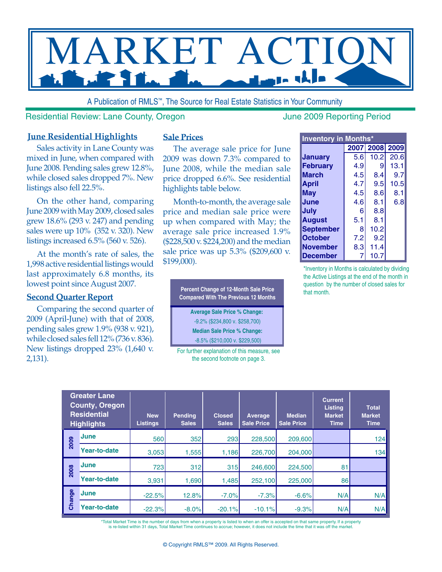

A Publication of RMLS™, The Source for Real Estate Statistics in Your Community

#### Residential Review: Lane County, Oregon June 2009 Reporting Period

### **June Residential Highlights**

Sales activity in Lane County was mixed in June, when compared with June 2008. Pending sales grew 12.8%, while closed sales dropped 7%. New listings also fell 22.5%.

On the other hand, comparing June 2009 with May 2009, closed sales grew 18.6% (293 v. 247) and pending sales were up 10% (352 v. 320). New listings increased 6.5% (560 v. 526).

At the month's rate of sales, the 1,998 active residential listings would last approximately 6.8 months, its lowest point since August 2007.

#### **Second Quarter Report**

Comparing the second quarter of 2009 (April-June) with that of 2008, pending sales grew 1.9% (938 v. 921), while closed sales fell 12% (736 v. 836). New listings dropped 23% (1,640 v. 2,131).

#### **Sale Prices**

The average sale price for June 2009 was down 7.3% compared to June 2008, while the median sale price dropped 6.6%. See residential highlights table below.

Month-to-month, the average sale price and median sale price were up when compared with May; the average sale price increased 1.9% (\$228,500 v. \$224,200) and the median sale price was up 5.3% (\$209,600 v. \$199,000).

> **Percent Change of 12-Month Sale Price Compared With The Previous 12 Months**

> > **Average Sale Price % Change:**  -9.2% (\$234,800 v. \$258,700)

**Median Sale Price % Change:**

-8.5% (\$210,000 v. \$229,500)

For further explanation of this measure, see the second footnote on page 3.

| <b>Inventory in Months*</b> |     |                |      |  |  |  |  |  |  |  |  |  |
|-----------------------------|-----|----------------|------|--|--|--|--|--|--|--|--|--|
|                             |     | 2007 2008 2009 |      |  |  |  |  |  |  |  |  |  |
| <b>January</b>              | 5.6 | 10.2           | 20.6 |  |  |  |  |  |  |  |  |  |
| <b>February</b>             | 4.9 | 9              | 13.1 |  |  |  |  |  |  |  |  |  |
| March                       | 4.5 | 8.4            | 9.7  |  |  |  |  |  |  |  |  |  |
| <b>April</b>                | 4.7 | 9.5            | 10.5 |  |  |  |  |  |  |  |  |  |
| May                         | 4.5 | 8.6            | 8.1  |  |  |  |  |  |  |  |  |  |
| June                        | 4.6 | 8.1            | 6.8  |  |  |  |  |  |  |  |  |  |
| July                        | 6   | 8.8            |      |  |  |  |  |  |  |  |  |  |
| <b>August</b>               | 5.1 | 8.1            |      |  |  |  |  |  |  |  |  |  |
| <b>September</b>            | 8   | 10.2           |      |  |  |  |  |  |  |  |  |  |
| <b>October</b>              | 7.2 | 9.2            |      |  |  |  |  |  |  |  |  |  |
| <b>November</b>             | 8.3 | 11.4           |      |  |  |  |  |  |  |  |  |  |
| <b>December</b>             | 7   | 10.7           |      |  |  |  |  |  |  |  |  |  |

\*Inventory in Months is calculated by dividing the Active Listings at the end of the month in question by the number of closed sales for that month.

| <b>Greater Lane</b><br><b>County, Oregon</b><br><b>Residential</b><br><b>Highlights</b> |              | <b>New</b><br><b>Listings</b> | <b>Pending</b><br><b>Sales</b> | <b>Closed</b><br><b>Sales</b> | Average<br><b>Sale Price</b> | <b>Median</b><br><b>Sale Price</b> | <b>Current</b><br><b>Listing</b><br><b>Market</b><br><b>Time</b> | <b>Total</b><br><b>Market</b><br><b>Time</b> |  |
|-----------------------------------------------------------------------------------------|--------------|-------------------------------|--------------------------------|-------------------------------|------------------------------|------------------------------------|------------------------------------------------------------------|----------------------------------------------|--|
| 2009                                                                                    | June         | 560                           | 352                            | 293                           | 228,500                      | 209,600                            |                                                                  | 124                                          |  |
|                                                                                         | Year-to-date | 3,053                         | 1,555                          | 1,186                         | 226,700                      | 204,000                            |                                                                  | 134                                          |  |
| 2008                                                                                    | June         | 723                           | 312                            | 315                           | 246,600                      | 224,500                            | 81                                                               |                                              |  |
|                                                                                         | Year-to-date | 3,931                         | 1,690                          | 1,485                         | 252,100                      | 225,000                            | 86                                                               |                                              |  |
| Change                                                                                  | <b>June</b>  | $-22.5%$                      | 12.8%                          | $-7.0%$                       | $-7.3%$                      | $-6.6%$                            | N/A                                                              | N/A                                          |  |
|                                                                                         | Year-to-date | $-22.3%$                      | $-8.0%$                        | $-20.1%$                      | $-10.1%$                     | $-9.3%$                            | N/A                                                              | N/A                                          |  |

\*Total Market Time is the number of days from when a property is listed to when an offer is accepted on that same property. If a property is re-listed within 31 days, Total Market Time continues to accrue; however, it does not include the time that it was off the market.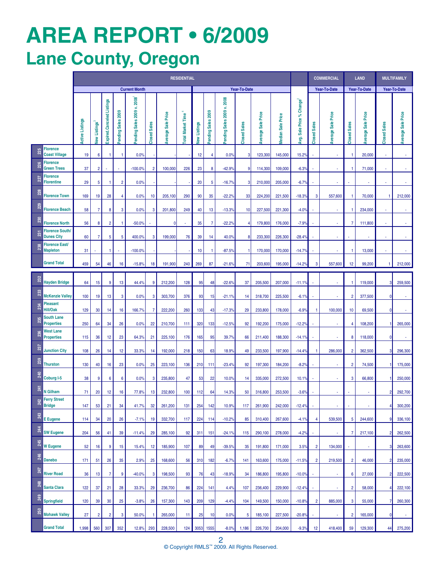# **AREa REPORT • 6/2009 Lane County, Oregon**

|                  |                                             | <b>RESIDENTIAL</b>     |                                |                           |                    |                            |                     |                    |                          |                     |                    |                            |                     |                       |                       | <b>COMMERCIAL</b>        |                     | <b>LAND</b>        |                         | <b>MULTIFAMILY</b> |                          |                             |
|------------------|---------------------------------------------|------------------------|--------------------------------|---------------------------|--------------------|----------------------------|---------------------|--------------------|--------------------------|---------------------|--------------------|----------------------------|---------------------|-----------------------|-----------------------|--------------------------|---------------------|--------------------|-------------------------|--------------------|--------------------------|-----------------------------|
|                  |                                             | <b>Current Month</b>   |                                |                           |                    |                            |                     |                    | Year-To-Date             |                     |                    |                            |                     |                       |                       |                          | <b>Year-To-Date</b> |                    | <b>Year-To-Date</b>     |                    | Year-To-Date             |                             |
|                  |                                             | <b>Active Listings</b> | <b>Listings</b><br><b>Vely</b> | Expired.Canceled Listings | Pending Sales 2009 | Pending Sales 2009 v. 2008 | <b>Closed Sales</b> | Average Sale Price | <b>Total Market Time</b> | <b>Jew Listings</b> | Pending Sales 2009 | Pending Sales 2009 v. 2008 | <b>Closed Sales</b> | Sale Price<br>Average | Sale Price<br>Median: | Avg. Sale Price % Change | <b>Closed Sales</b> | Average Sale Price | <b>Closed Sales</b>     | Average Sale Price | <b>Closed Sales</b>      | <b>Average Sale Price</b>   |
| 225              | <b>Florence</b><br><b>Coast Village</b>     | 19                     | $\boldsymbol{6}$               | $\mathbf{1}$              | $\mathbf{1}$       | 0.0%                       |                     |                    |                          | 12                  | 4                  | 0.0%                       | 3                   | 123,300               | 145,000               | 15.2%                    |                     | ÷,                 | $\mathbf{1}$            | 20,000             | $\sim$                   | $\mathcal{L}_{\mathcal{A}}$ |
| 226              | <b>Florence</b><br><b>Green Trees</b>       | 37                     | $\overline{2}$                 |                           | ÷,                 | $-100.0%$                  | $\overline{2}$      | 100,000            | 226                      | 23                  | 8                  | $-42.9%$                   | 9                   | 114,300               | 109,000               | $-6.3%$                  |                     | ÷,                 | -1                      | 71,000             | $\overline{\phantom{a}}$ | $\mathcal{L}$               |
| <b>227</b>       | <b>Florence</b><br><b>Florentine</b>        | 29                     | 5                              | 1                         | $\overline{2}$     | 0.0%                       |                     |                    |                          | 20                  | 5                  | $-16.7%$                   | 3                   | 210,000               | 205,000               | $-6.7%$                  |                     |                    |                         |                    |                          |                             |
| 228              | <b>Florence Town</b>                        | 169                    | 19                             | 28                        | 4                  | 0.0%                       | 10                  | 205,100            | 290                      | 90                  | 35                 | $-22.2%$                   | 33                  | 224,200               | 221,500               | $-18.3%$                 | 3                   | 557,600            | -1                      | 70,000             | 1                        | 212,000                     |
| <b>229</b>       | <b>Florence Beach</b>                       | 58                     | 7                              | 8                         | 3                  | 0.0%                       | 3                   | 201,800            | 249                      | 40                  | 13                 | $-13.3%$                   | 10                  | 227,500               | 221,300               | $-4.0%$                  |                     |                    | -1                      | 234,000            |                          |                             |
| 230              | <b>Florence North</b>                       | 56                     | 8                              | $\overline{2}$            | -1                 | $-50.0%$                   |                     | 0                  | $\overline{\phantom{a}}$ | 35                  | $\overline{7}$     | $-22.2%$                   | 4                   | 179,800               | 176,000               | $-7.9%$                  |                     | ÷,                 | 7                       | 111,800            | ÷,                       | $\omega$                    |
| 231              | <b>Florence South/</b><br><b>Dunes City</b> | 60                     | $\overline{7}$                 | 5                         | 5                  | 400.0%                     | 3                   | 199,000            | 76                       | 39                  | 14                 | 40.0%                      | 8                   | 233,300               | 226,300               | $-28.4%$                 |                     | ÷                  |                         | $\sim$             | $\sim$                   | $\blacksquare$              |
| 238              | Florence East/<br><b>Mapleton</b>           | 31                     |                                | -1                        | ÷,                 | $-100.0%$                  |                     |                    |                          | 10                  | 1                  | $-87.5%$                   | -1                  | 170,000               | 170,000               | $-14.7%$                 |                     |                    | $\mathbf{1}$            | 13,000             | ÷,                       | $\sim$                      |
|                  | <b>Grand Total</b>                          | 459                    | 54                             | 46                        | 16                 | $-15.8%$                   | 18                  | 191,900            | 240                      | 269                 | 87                 | $-21.6%$                   | 71                  | 203,600               | 195,000               | $-14.2%$                 | 3                   | 557,600            | 12                      | 99,200             | 1                        | 212,000                     |
| 232              | <b>Hayden Bridge</b>                        | 64                     | 15                             | 9                         | 13                 | 44.4%                      | 9                   | 212,200            | 128                      | 95                  | 48                 | $-22.6%$                   | 37                  | 205,500               | 207,000               | $-11.1%$                 |                     |                    | -1                      | 119,000            | 3 <sup>l</sup>           | 259,500                     |
| 233              | <b>McKenzie Valley</b>                      | 100                    | 19                             | 13                        | 3                  | 0.0%                       | 3                   | 303,700            | 376                      | 93                  | 15                 | $-21.1%$                   | 14                  | 318,700               | 225,500               | $-6.19$                  |                     |                    | $\overline{\mathbf{c}}$ | 377,500            | $\mathbf{0}$             |                             |
| 234              | Pleasant<br>Hill/Oak                        | 129                    | 30                             | 14                        | 16                 | 166.7%                     | 7                   | 222,200            | 260                      | 133                 | 43                 | $-17.3%$                   | 29                  | 233,800               | 178,000               | $-6.9%$                  |                     | 100,000            | 10                      | 69,500             | $\mathbf{0}$             | $\blacksquare$              |
| 235              | <b>South Lane</b><br><b>Properties</b>      | 250                    | 64                             | 34                        | 26                 | 0.0%                       | 22                  | 210,700            | 111                      | 320                 | 133                | $-12.5%$                   | 92                  | 192,200               | 175,000               | $-12.2%$                 |                     | ×,                 | 4                       | 108,200            |                          | 265,000                     |
| 236              | West Lane<br><b>Properties</b>              | 115                    | 36                             | 12                        | 23                 | 64.3%                      | 21                  | 225,100            | 176                      | 165                 | 95                 | 39.7%                      | 66                  | 211,400               | 188,300               | $-14.1%$                 |                     |                    | 8                       | 118,000            | $\overline{0}$           | $\mathcal{L}$               |
| 237              | <b>Junction City</b>                        | 108                    | 26                             | 14                        | 12                 | 33.3%                      | 14                  | 192,000            | 218                      | 150                 | 63                 | 18.9%                      | 49                  | 233,500               | 197,900               | $-14.4%$                 |                     | 286,000            | $\overline{c}$          | 362,500            | $\overline{\mathbf{3}}$  | 296,300                     |
| 239              | Thurston                                    | 130                    | 40                             | 16                        | 23                 | 0.0%                       | 25                  | 223,100            | 136                      | 210                 | 111                | $-23.4%$                   | 92                  | 197,300               | 184,200               | $-8.2%$                  |                     |                    | $\overline{2}$          | 74,500             |                          | 175,000                     |
| 240              | Coburg I-5                                  | 38                     | 9                              | 6                         | 6                  | 0.0%                       | 3                   | 235,800            | 47                       | 53                  | 22                 | 10.0%                      | 14                  | 335,000               | 272,500               | 10.1%                    |                     |                    | 3                       | 66,800             | 1                        | 250,000                     |
| $\overline{241}$ | N Gilham<br><b>Ferry Street</b>             | 71                     | 20                             | 12                        | 16                 | 77.8%                      | 13                  | 232,800            | 100                      | 112                 | 64                 | 14.3%                      | 50                  | 316,800               | 253,500               | $-3.6%$                  |                     |                    |                         |                    | $\overline{2}$           | 292,700                     |
| 242              | <b>Bridge</b>                               | 147                    | 53                             | 21                        | 34                 | 41.7%                      | 32                  | 261,200            | 131                      | 254                 | 142                | 10.9%                      | 117                 | 261,900               | 242,000               | $-12.4%$                 |                     | ä,                 |                         |                    | $\overline{4}$           | 300,200                     |
| 243              | E Eugene                                    | 114                    | 34                             | 20                        | 26                 | $-7.1%$                    | 19                  | 332,700            | 117                      | 224                 | 114                | $-10.2%$                   | 85                  | 310,400               | 267,600               | $-4.1%$                  | $\overline{4}$      | 539,500            | 5 <sub>5</sub>          | 244,600            | <sup>9</sup>             | 336,100                     |
| 244              | <b>SW Eugene</b>                            | 204                    | 56                             | 41                        | 39                 | $-11.4%$                   | 29                  | 285,100            | 92                       | 311                 | 151                | $-24.1%$                   | 115                 | 290,100               | 278,000               | $-4.2%$                  |                     | ä,                 | 7                       | 217,100            | $\overline{2}$           | 262,500                     |
| 245              | <b>W</b> Eugene                             | 52                     | 16                             | 9                         | 15                 | 15.4%                      | 12                  | 185,900            | 107                      | 89                  | 49                 | $-39.5%$                   | 35                  | 191,800               | 171,000               | 3.5%                     | $\overline{2}$      | 134,000            |                         |                    | 3                        | 263,600                     |
| 246              | <b>Danebo</b>                               | 171                    | 51                             | 26                        | 35                 | 2.9%                       | 25                  | 168,600            | 56                       | 310                 | 182                | $-6.7%$                    | 141                 | 163,600               | 175,000               | $-11.5%$                 | $\overline{2}$      | 219,500            | $\overline{2}$          | 46,000             | $\mathbf{2}$             | 235,000                     |
| 247              | <b>River Road</b>                           | 36                     | 13                             | $\overline{7}$            | 9                  | $-40.0%$                   | 3                   | 198,500            | 93                       | 76                  | 43                 | $-18.9%$                   | 34                  | 186,800               | 195,800               | $-10.0%$                 |                     | ä,                 | 6                       | 27,000             | $\overline{2}$           | 222,500                     |
| 248              | <b>Santa Clara</b>                          | 122                    | 37                             | 21                        | 28                 | 33.3%                      | 29                  | 236,700            | 86                       | 224                 | 141                | 4.4%                       | 107                 | 236,400               | 229,900               | $-12.4%$                 |                     | ÷,                 | $\overline{c}$          | 58,000             | 4                        | 222,100                     |
| 249              | <b>Springfield</b>                          | 120                    | 39                             | 30                        | 25                 | $-3.8%$                    | 26                  | 157,300            | 143                      | 209                 | 129                | $-4.4%$                    | 104                 | 149,500               | 150,000               | $-10.8%$                 | $\overline{2}$      | 885,000            | 3                       | 55,000             | $\overline{7}$           | 260,300                     |
| 250              | <b>Mohawk Valley</b>                        | 27                     | $\overline{\mathbf{c}}$        | $\overline{2}$            | 3                  | 50.0%                      | 1                   | 265,000            | 11                       | 25                  | 10                 | 0.0%                       | 5                   | 185,100               | 227,500               | $-20.8%$                 |                     | ä,                 | $\overline{2}$          | 165,000            | $\mathbf{0}$             | $\mathcal{L}_{\mathcal{A}}$ |
|                  | <b>Grand Total</b>                          | 1,998                  | 560                            | 307                       | 352                | 12.8%                      | 293                 | 228,500            | 124                      | 3053                | 1555               | $-8.0%$                    | 1,186               | 226,700               | 204,000               | $-9.3%$                  | 12                  | 418,400            | 59                      | 129,300            | 44                       | 275,200                     |

2 © Copyright RMLS™ 2009. All Rights Reserved.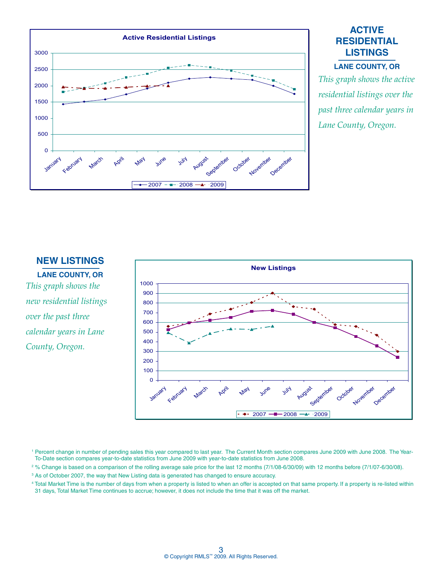

# **ACTIVE RESIDENTIAL LISTINGS**

#### **LANE COUNTY, OR**

*This graph shows the active residential listings over the past three calendar years in Lane County, Oregon.*

#### **NEW LISTINGS**

**LANE COUNTY, OR** *This graph shows the new residential listings over the past three calendar years in Lane County, Oregon.*



<sup>1</sup> Percent change in number of pending sales this year compared to last year. The Current Month section compares June 2009 with June 2008. The Year-To-Date section compares year-to-date statistics from June 2009 with year-to-date statistics from June 2008.

<sup>2</sup>% Change is based on a comparison of the rolling average sale price for the last 12 months (7/1/08-6/30/09) with 12 months before (7/1/07-6/30/08).

<sup>3</sup> As of October 2007, the way that New Listing data is generated has changed to ensure accuracy.

4 Total Market Time is the number of days from when a property is listed to when an offer is accepted on that same property. If a property is re-listed within 31 days, Total Market Time continues to accrue; however, it does not include the time that it was off the market.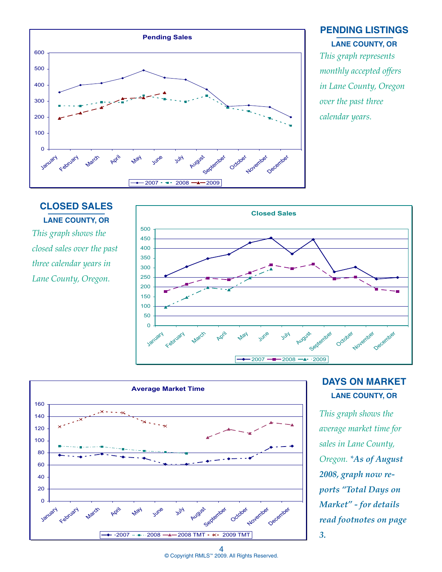

## **PENDING LISTINGS LANE COUNTY, OR**

*This graph represents monthly accepted offers in Lane County, Oregon over the past three calendar years.*

# **CLOSED SALES LANE COUNTY, OR**

*This graph shows the closed sales over the past three calendar years in Lane County, Oregon.*





# **DAYS ON MARKET LANE COUNTY, OR**

*This graph shows the average market time for sales in Lane County, Oregon. \*As of August 2008, graph now reports "Total Days on Market" - for details read footnotes on page 3.*